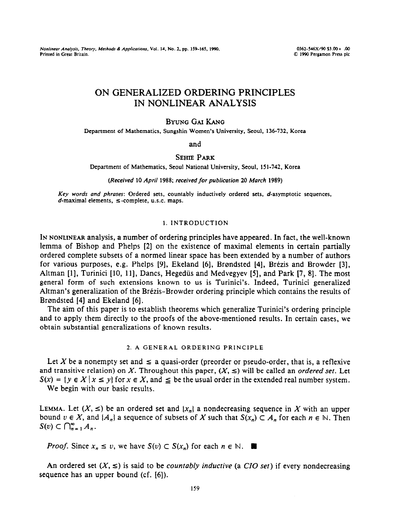*Nonlinear Analysis, Theory, Methods & Applications, Vol. 14, No. 2, pp. 159-165, 1990.* 0362-546X/90 193.00 + .00<br>Printed in Great Britain. 02. Printed in Great Britain. 0362-546X/90 53.00 + .00

**Printed in Great Brimin.** *Q 1990* **Pcrgamon Press plc** 

# ON GENERALIZED ORDERING PRINCIPLES IN NONLINEAR ANALYSIS

## BYUNG GAI KANG

Department of Mathematics, Sungshin Women's University, Seoul, 136-732, Korea

and

### SEHIE PARK

Department of Mathematics, Seoul National University, Seoul, 151-742, Korea

*(Received* 10 *April 1988; received for publicorion 20* Murch 1989)

*Key words und phruses:* Ordered sets, countably inductively ordered sets, d-asymptotic sequences,  $d$ -maximal elements,  $\le$ -complete, u.s.c. maps.

#### 1. INTRODUCTION

IN NONLINEAR analysis, a number of ordering principles have appeared. In fact, the well-known lemma of Bishop and Phelps [2] on the existence of maximal elements in certain partially ordered complete subsets of a normed linear space has been extended by a number of authors for various purposes, e.g. Phelps [9], Ekeland [6], Brøndsted [4], Brézis and Browder [3], Altman [1], Turinici [10, 11], Dancs, Hegedüs and Medvegyev [5], and Park [7, 8]. The most general form of such extensions known to us is Turinici's. Indeed, Turinici generalized Altman's generalization of the Brézis-Browder ordering principle which contains the results of Brondsted [4] and Ekeland [6].

The aim of this paper is to establish theorems which generalize Turinici's ordering principle and to apply them directly to the proofs of the above-mentioned results. In certain cases, we obtain substantial generalizations of known results.

#### 2. A GENERAL ORDERING PRINCIPLE

Let X be a nonempty set and  $\le a$  quasi-order (preorder or pseudo-order, that is, a reflexive and transitive relation) on X. Throughout this paper,  $(X, \leq)$  will be called an *ordered set*. Let  $S(x) = \{y \in X \mid x \le y\}$  for  $x \in X$ , and  $\leq$  be the usual order in the extended real number system. We begin with our basic results.

LEMMA. Let  $(X, \leq)$  be an ordered set and  $\{x_n\}$  a nondecreasing sequence in X with an upper bound  $v \in X$ , and  $\{A_n\}$  a sequence of subsets of X such that  $S(x_n) \subset A_n$  for each  $n \in \mathbb{N}$ . Then  $S(v) \subset \bigcap_{n=1}^{\infty} A_n$ .

*Proof.* Since  $x_n \leq v$ , we have  $S(v) \subset S(x_n)$  for each  $n \in \mathbb{N}$ .

An ordered set  $(X, \leq)$  is said to be *countably inductive* (a *CIO set*) if every nondecreasing sequence has an upper bound (cf. [6]).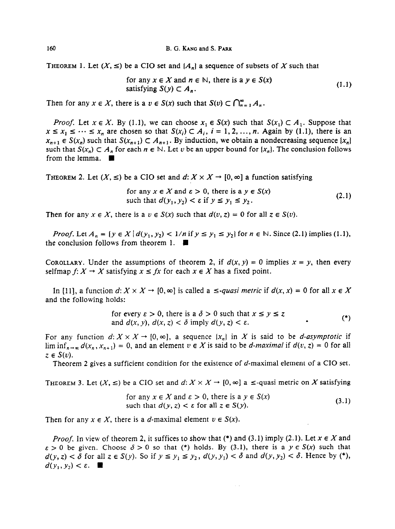THEOREM 1. Let  $(X, \leq)$  be a CIO set and  $\{A_n\}$  a sequence of subsets of X such that

for any 
$$
x \in X
$$
 and  $n \in \mathbb{N}$ , there is a  $y \in S(x)$   
satisfying  $S(y) \subset A_n$ . (1.1)

Then for any  $x \in X$ , there is a  $v \in S(x)$  such that  $S(v) \subset \bigcap_{n=1}^{\infty} A_n$ .

*Proof.* Let  $x \in X$ . By (1.1), we can choose  $x_1 \in S(x)$  such that  $S(x_1) \subset A_1$ . Suppose that  $x \leq x_1 \leq \cdots \leq x_n$  are chosen so that  $S(x_i) \subset A_i$ ,  $i = 1, 2, ..., n$ . Again by (1.1), there is an  $x_{n+1} \in S(x_n)$  such that  $S(x_{n+1}) \subset A_{n+1}$ . By induction, we obtain a nondecreasing sequence  $\{x_n\}$ such that  $S(x_n) \subset A_n$  for each  $n \in \mathbb{N}$ . Let v be an upper bound for  $\{x_n\}$ . The conclusion follows from the lemma.  $\blacksquare$ 

**THEOREM 2.** Let  $(X, \leq)$  be a CIO set and  $d: X \times X \rightarrow [0, \infty]$  a function satisfying

for any 
$$
x \in X
$$
 and  $\varepsilon > 0$ , there is a  $y \in S(x)$   
such that  $d(y_1, y_2) < \varepsilon$  if  $y \le y_1 \le y_2$ . (2.1)

Then for any  $x \in X$ , there is a  $v \in S(x)$  such that  $d(v, z) = 0$  for all  $z \in S(v)$ .

*Proof.* Let  $A_n = \{y \in X | d(y_1, y_2) < 1/n \text{ if } y \le y_1 \le y_2\}$  for  $n \in \mathbb{N}$ . Since (2.1) implies (1.1), the conclusion follows from theorem 1.  $\blacksquare$ 

COROLLARY. Under the assumptions of theorem 2, if  $d(x, y) = 0$  implies  $x = y$ , then every selfmap  $f: X \to X$  satisfying  $x \leq fx$  for each  $x \in X$  has a fixed point.

In [11], a function  $d: X \times X \rightarrow [0, \infty]$  is called a  $\le$ -quasi metric if  $d(x, x) = 0$  for all  $x \in X$ and the following holds:

for every 
$$
\varepsilon > 0
$$
, there is a  $\delta > 0$  such that  $x \le y \le z$   
and  $d(x, y)$ ,  $d(x, z) < \delta$  imply  $d(y, z) < \varepsilon$ .

For any function  $d: X \times X \to [0, \infty]$ , a sequence  $\{x_n\}$  in X is said to be *d-asymptotic* if  $\liminf_{n\to\infty} d(x_n, x_{n+1}) = 0$ , and an element  $v \in X$  is said to be *d-maximal* if  $d(v, z) = 0$  for all  $z \in S(v)$ .

Theorem 2 gives a sufficient condition for the existence of d-maximal element of a CIO set.

**THEOREM 3.** Let  $(X, \leq)$  be a CIO set and  $d: X \times X \rightarrow [0, \infty]$  a  $\leq$ -quasi metric on X satisfying

for any 
$$
x \in X
$$
 and  $\varepsilon > 0$ , there is a  $y \in S(x)$   
such that  $d(y, z) < \varepsilon$  for all  $z \in S(y)$ . (3.1)

Then for any  $x \in X$ , there is a d-maximal element  $v \in S(x)$ .

*Proof.* In view of theorem 2, it suffices to show that (\*) and (3.1) imply (2.1). Let  $x \in X$  and  $\varepsilon > 0$  be given. Choose  $\delta > 0$  so that (\*) holds. By (3.1), there is a  $y \in S(x)$  such that  $d(y, z) < \delta$  for all  $z \in S(y)$ . So if  $y \le y_1 \le y_2$ ,  $d(y, y_1) < \delta$  and  $d(y, y_2) < \delta$ . Hence by (\*),  $d(y_1, y_2) < \varepsilon$ .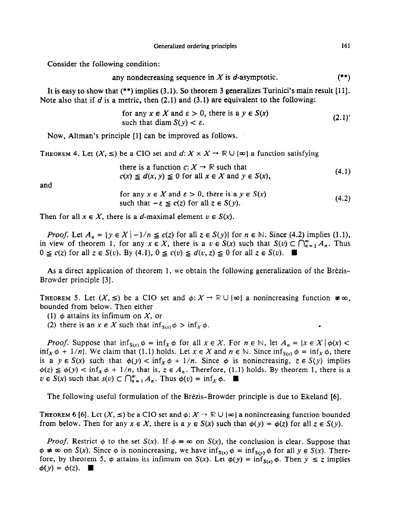Consider the following condition:

any nondecreasing sequence in 
$$
X
$$
 is  $d$ -asymptotic.  $(**)$ 

It is easy to show that (\*\*) implies (3.1). So theorem 3 generalizes Turinici's main result (111. Note also that if d is a metric, then (2.1) and (3.1) are equivalent to the following:

for any 
$$
x \in X
$$
 and  $\varepsilon > 0$ , there is a  $y \in S(x)$   
such that diam  $S(y) < \varepsilon$ . (2.1)

Now, Altman's principle (11 can be improved as follows.

THEOREM 4. Let  $(X, \leq)$  be a CIO set and  $d: X \times X \to \mathbb{R} \cup \{ \infty \}$  a function satisfying

there is a function  $c: X \rightarrow \mathbb{R}$  such that  $c(x) \leq d(x, y) \leq 0$  for all  $x \in X$  and  $y \in S(x)$ , (4.1)

and

for any 
$$
x \in X
$$
 and  $\varepsilon > 0$ , there is a  $y \in S(x)$   
such that  $-\varepsilon \leq c(z)$  for all  $z \in S(y)$ . (4.2)

Then for all  $x \in X$ , there is a *d*-maximal element  $v \in S(x)$ .

*Proof.* Let  $A_n = \{y \in X \mid -1/n \le c(z) \text{ for all } z \in S(y)\}$  for  $n \in \mathbb{N}$ . Since (4.2) implies (1.1), in view of theorem 1, for any  $x \in X$ , there is a  $v \in S(x)$  such that  $S(v) \subset \bigcap_{n=1}^{\infty} A_n$ . Thus  $0 \leq c(z)$  for all  $z \in S(v)$ . By (4.1),  $0 \leq c(v) \leq d(v, z) \leq 0$  for all  $z \in S(v)$ .

As a direct application of theorem 1, we obtain the following generalization of the Brézis-Browder principle [3].

THEOREM 5. Let  $(X, \leq)$  be a CIO set and  $\phi: X \to \mathbb{R} \cup {\infty}$  a nonincreasing function  $\neq \infty$ , bounded from below. Then either

(1)  $\phi$  attains its infimum on X, or

(2) there is an  $x \in X$  such that  $\inf_{S(x)} \phi > \inf_{X} \phi$ .

*Proof.* Suppose that  $\inf_{S(x)} \phi = \inf_X \phi$  for all  $x \in X$ . For  $n \in \mathbb{N}$ , let  $A_n = \{x \in X \mid \phi(x)$ inf<sub>x</sub>  $\phi$  + 1/n}. We claim that (1.1) holds. Let  $x \in X$  and  $n \in \mathbb{N}$ . Since  $\inf_{S(x)} \phi = \inf_{X} \phi$ , there is a  $y \in S(x)$  such that  $\phi(y) < \inf_{x} \phi + 1/n$ . Since  $\phi$  is nonincreasing,  $z \in S(y)$  implies  $\phi(z) \leq \phi(y) < \inf_{x} \phi + 1/n$ , that is,  $z \in A_n$ . Therefore, (1.1) holds. By theorem 1, there is a  $v \in S(x)$  such that  $s(v) \subset \bigcap_{n=1}^{\infty} A_n$ . Thus  $\phi(v) = \inf_X \phi$ .

The following useful formulation of the Brezis-Browder principle is due to Ekeland [6].

THEOREM 6 [6]. Let  $(X, \leq)$  be a CIO set and  $\phi: X \to \mathbb{R} \cup {\infty}$  a nonincreasing function bounded from below. Then for any  $x \in X$ , there is a  $y \in S(x)$  such that  $\phi(y) = \phi(z)$  for all  $z \in S(y)$ .

*Proof.* Restrict  $\phi$  to the set  $S(x)$ . If  $\phi = \infty$  on  $S(x)$ , the conclusion is clear. Suppose that  $\phi \neq \infty$  on  $S(x)$ . Since  $\phi$  is nonincreasing, we have  $\inf_{S(x)} \phi = \inf_{S(y)} \phi$  for all  $y \in S(x)$ . Therefore, by theorem 5,  $\phi$  attains its infimum on  $S(x)$ . Let  $\phi(y) = \inf_{S(x)} \phi$ . Then  $y \le z$  implies  $\phi(y) = \phi(z)$ .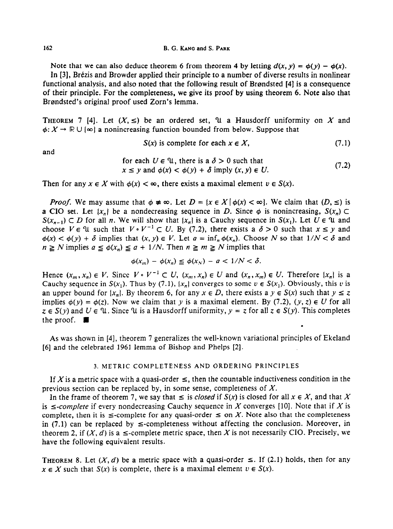#### **162 B. G. KANG and S. PARK**

Note that we can also deduce theorem 6 from theorem 4 by letting  $d(x, y) = \phi(y) - \phi(x)$ . In [3], Brézis and Browder applied their principle to a number of diverse results in nonlinear functional analysis, and also noted that the following result of Brandsted [4] is a consequence of their principle. For the completeness, we give its proof by using theorem 6. Note also that Brondsted's original proof used Zorn's lemma.

THEOREM 7 [4]. Let  $(X, \leq)$  be an ordered set,  $\mathcal{U}$  a Hausdorff uniformity on X and  $\phi: X \to \mathbb{R} \cup \{ \infty \}$  a nonincreasing function bounded from below. Suppose that

$$
S(x) \text{ is complete for each } x \in X, \tag{7.1}
$$

and

for each 
$$
U \in \mathcal{U}
$$
, there is a  $\delta > 0$  such that  
\n $x \le y$  and  $\phi(x) < \phi(y) + \delta$  imply  $(x, y) \in U$ . (7.2)

Then for any  $x \in X$  with  $\phi(x) < \infty$ , there exists a maximal element  $v \in S(x)$ .

*Proof.* We may assume that  $\phi \neq \infty$ . Let  $D = \{x \in X \mid \phi(x) < \infty\}$ . We claim that  $(D, \leq)$  is a CIO set. Let  $\{x_n\}$  be a nondecreasing sequence in D. Since  $\phi$  is nonincreasing,  $S(x_n)$  $S(x_{n-1}) \subset D$  for all n. We will show that  $\{x_n\}$  is a Cauchy sequence in  $S(x_1)$ . Let  $U \in \mathcal{U}$  and choose  $V \in \mathcal{U}$  such that  $V \circ V^{-1} \subset U$ . By (7.2), there exists a  $\delta > 0$  such that  $x \le y$  and  $\phi(x) < \phi(y) + \delta$  implies that  $(x, y) \in V$ . Let  $a = \inf_n \phi(x_n)$ . Choose N so that  $1/N < \delta$  and  $n \ge N$  implies  $a \le \phi(x_n) \le a + 1/N$ . Then  $n \ge m \ge N$  implies that

$$
\phi(x_m) - \phi(x_n) \leq \phi(x_N) - a < \frac{1}{N} < \delta.
$$

Hence  $(x_m, x_n) \in V$ . Since  $V \circ V^{-1} \subset U$ ,  $(x_m, x_n) \in U$  and  $(x_n, x_m) \in U$ . Therefore  $\{x_n\}$  is a Cauchy sequence in  $S(x_1)$ . Thus by (7.1),  $\{x_n\}$  converges to some  $v \in S(x_1)$ . Obviously, this v is an upper bound for  $\{x_n\}$ . By theorem 6, for any  $x \in D$ , there exists a  $y \in S(x)$  such that  $y \le z$ implies  $\phi(y) = \phi(z)$ . Now we claim that y is a maximal element. By (7.2),  $(y, z) \in U$  for all  $z \in S(y)$  and  $U \in \mathcal{U}$ . Since  $\mathcal{U}$  is a Hausdorff uniformity,  $y = z$  for all  $z \in S(y)$ . This completes the proof.  $\blacksquare$ .

As was shown in [4], theorem 7 generalizes the well-known variational principles of Ekeland [6] and the celebrated 1961 lemma of Bishop and Phelps [2].

#### 3. METRIC COMPLETENESS AND ORDERING PRINCIPLES

If X is a metric space with a quasi-order  $\leq$ , then the countable inductiveness condition in the previous section can be replaced by, in some sense, completeness of  $X$ .

In the frame of theorem 7, we say that  $\leq$  is *closed* if  $S(x)$  is closed for all  $x \in X$ , and that X is  $\le$ -complete if every nondecreasing Cauchy sequence in X converges [10]. Note that if X is complete, then it is  $\leq$ -complete for any quasi-order  $\leq$  on X. Note also that the completeness in (7.1) can be replaced by  $\le$ -completeness without affecting the conclusion. Moreover, in theorem 2, if  $(X, d)$  is a  $\leq$ -complete metric space, then X is not necessarily CIO. Precisely, we have the following equivalent results.

**THEOREM 8.** Let  $(X, d)$  be a metric space with a quasi-order  $\leq$ . If (2.1) holds, then for any  $x \in X$  such that  $S(x)$  is complete, there is a maximal element  $v \in S(x)$ .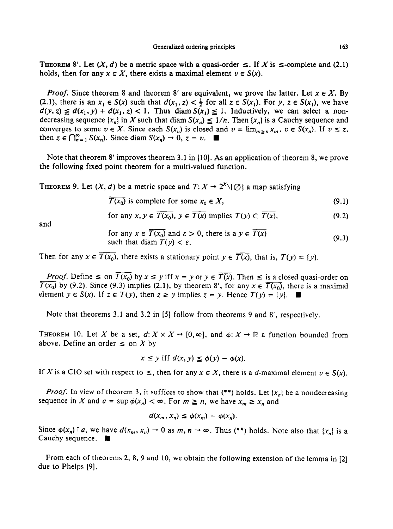THEOREM 8'. Let  $(X, d)$  be a metric space with a quasi-order  $\leq$ . If X is  $\leq$ -complete and (2.1) holds, then for any  $x \in X$ , there exists a maximal element  $v \in S(x)$ .

*Proof.* Since theorem 8 and theorem 8' are equivalent, we prove the latter. Let  $x \in X$ . By (2.1), there is an  $x_1 \in S(x)$  such that  $d(x_1, z) < \frac{1}{2}$  for all  $z \in S(x_1)$ . For y,  $z \in S(x_1)$ , we have  $d(y, z) \leq d(x_1, y) + d(x_1, z) < 1$ . Thus diam  $S(x_1) \leq 1$ . Inductively, we can select a nondecreasing sequence  $\{x_n\}$  in X such that diam  $S(x_n) \leq 1/n$ . Then  $\{x_n\}$  is a Cauchy sequence and converges to some  $v \in X$ . Since each  $S(x_n)$  is closed and  $v = \lim_{m \ge n} x_m$ ,  $v \in S(x_n)$ . If  $v \le z$ , then  $z \in \bigcap_{n=1}^{\infty} S(x_n)$ . Since diam  $S(x_n) \to 0$ ,  $z = v$ .

Note that theorem 8' improves theorem 3.1 in [10]. As an application of theorem 8, we prove the following fixed point theorem for a multi-valued function.

**THEOREM 9.** Let  $(X, d)$  be a metric space and  $T: X \rightarrow 2^{X} \setminus \{\emptyset\}$  a map satisfying

 $\overline{T(x_0)}$  is complete for some  $x_0 \in X$ , (9.1)

for any 
$$
x, y \in \overline{T(x_0)}, y \in \overline{T(x)}
$$
 implies  $T(y) \subset \overline{T(x)}$ , (9.2)

and

for any 
$$
x \in \overline{T(x_0)}
$$
 and  $\varepsilon > 0$ , there is a  $y \in \overline{T(x)}$   
such that diam  $T(y) < \varepsilon$ . (9.3)

Then for any  $x \in \overline{T(x_0)}$ , there exists a stationary point  $y \in \overline{T(x)}$ , that is,  $T(y) = \{y\}$ .

*Proof.* Define  $\leq$  on  $\overline{T(x_0)}$  by  $x \leq y$  iff  $x = y$  or  $y \in \overline{T(x)}$ . Then  $\leq$  is a closed quasi-order on  $T(x_0)$  by (9.2). Since (9.3) implies (2.1), by theorem 8', for any  $x \in \overline{T(x_0)}$ , there is a maximal element  $y \in S(x)$ . If  $z \in T(y)$ , then  $z \ge y$  implies  $z = y$ . Hence  $T(y) = \{y\}$ .

Note that theorems 3.1 and 3.2 in [5] follow from theorems 9 and 8', respectively.

**THEOREM** 10. Let X be a set,  $d: X \times X \rightarrow [0, \infty]$ , and  $\phi: X \rightarrow \mathbb{R}$  a function bounded from above. Define an order  $\leq$  on X by

$$
x \leq y \text{ iff } d(x, y) \leq \phi(y) - \phi(x).
$$

If X is a CIO set with respect to  $\leq$ , then for any  $x \in X$ , there is a d-maximal element  $v \in S(x)$ .

*Proof.* In view of theorem 3, it suffices to show that  $(**)$  holds. Let  $\{x_n\}$  be a nondecreasing sequence in X and  $a = \sup \phi(x_n) < \infty$ . For  $m \ge n$ , we have  $x_m \ge x_n$  and

$$
d(x_m, x_n) \leq \phi(x_m) - \phi(x_n).
$$

Since  $\phi(x_n)$   $\uparrow a$ , we have  $d(x_m, x_n) \to 0$  as  $m, n \to \infty$ . Thus (\*\*) holds. Note also that  $\{x_n\}$  is a Cauchy sequence.  $\blacksquare$ 

From each of theorems 2, 8, 9 and 10, we obtain the following extension of the lemma in [2] due to Phelps [9].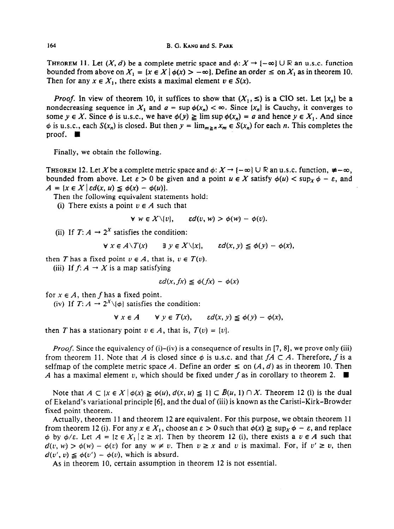**THEOREM 11.** Let  $(X, d)$  be a complete metric space and  $\phi: X \to [-\infty] \cup \mathbb{R}$  an u.s.c. function bounded from above on  $X_1 = \{x \in X \mid \phi(x) > -\infty\}$ . Define an order  $\leq$  on  $X_1$  as in theorem 10. Then for any  $x \in X_1$ , there exists a maximal element  $v \in S(x)$ .

*Proof.* In view of theorem 10, it suffices to show that  $(X_1, \leq)$  is a CIO set. Let  $\{x_n\}$  be a nondecreasing sequence in  $X_1$  and  $a = \sup \phi(x_n) < \infty$ . Since  $\{x_n\}$  is Cauchy, it converges to some  $y \in X$ . Since  $\phi$  is u.s.c., we have  $\phi(y) \ge \limsup \phi(x_n) = a$  and hence  $y \in X_1$ . And since  $\phi$  is u.s.c., each  $S(x_n)$  is closed. But then  $y = \lim_{m \geq n} x_m \in S(x_n)$  for each n. This completes the proof.  $\blacksquare$ 

Finally, we obtain the following.

**THEOREM 12. Let X be a complete metric space and**  $\phi: X \to \{-\infty\} \cup \mathbb{R}$  **an u.s.c. function,**  $\neq -\infty$ **,** bounded from above. Let  $\varepsilon > 0$  be given and a point  $u \in X$  satisfy  $\phi(u) < \sup_X \phi - \varepsilon$ , and  $A = \{x \in X \mid \varepsilon d(x, u) \leq \phi(x) - \phi(u)\}.$ 

Then the following equivalent statements hold:

(i) There exists a point  $v \in A$  such that

$$
\forall w \in X \setminus \{v\}, \qquad \varepsilon d(v, w) > \phi(w) - \phi(v).
$$

(ii) If  $T: A \rightarrow 2^X$  satisfies the condition:

$$
\forall x \in A \setminus T(x) \qquad \exists y \in X \setminus \{x\}, \qquad \varepsilon d(x, y) \leq \phi(y) - \phi(x),
$$

then T has a fixed point  $v \in A$ , that is,  $v \in T(v)$ .

(iii) If  $f: A \rightarrow X$  is a map satisfying

$$
\varepsilon d(x, fx) \leq \phi(fx) - \phi(x)
$$

for  $x \in A$ , then *f* has a fixed point.

(iv) If  $T: A \rightarrow 2^X \setminus \{ \phi \}$  satisfies the condition:

$$
\forall x \in A \qquad \forall y \in T(x), \qquad \varepsilon d(x, y) \leq \phi(y) - \phi(x),
$$

then T has a stationary point  $v \in A$ , that is,  $T(v) = \{v\}$ .

*Proof.* Since the equivalency of  $(i)$ – $(iv)$  is a consequence of results in [7, 8], we prove only (iii) from theorem 11. Note that *A* is closed since  $\phi$  is u.s.c. and that  $fA \subset A$ . Therefore, f is a selfmap of the complete metric space A. Define an order  $\leq$  on  $(A, d)$  as in theorem 10. Then *A* has a maximal element v, which should be fixed under f as in corollary to theorem 2.  $\blacksquare$ 

Note that  $A \subset \{x \in X \mid \phi(x) \geq \phi(u), d(x, u) \leq 1\} \subset \overline{B}(u, 1) \cap X$ . Theorem 12 (i) is the dual of Ekeland's variational principle [6], and the dual of (iii) is known as the Caristi-Kirk-Browder fixed point theorem.

Actually, theorem 11 and theorem 12 are equivalent. For this purpose, we obtain theorem 11 from theorem 12 (i). For any  $x \in X_1$ , choose an  $\varepsilon > 0$  such that  $\phi(x) \ge \sup_x \phi - \varepsilon$ , and replace  $\phi$  by  $\phi/\varepsilon$ . Let  $A = \{z \in X_1 | z \geq x\}$ . Then by theorem 12 (i), there exists a  $v \in A$  such that  $d(v, w) > \phi(w) - \phi(v)$  for any  $w \neq v$ . Then  $v \geq x$  and v is maximal. For, if  $v' \geq v$ , then  $d(v', v) \leq \phi(v') - \phi(v)$ , which is absurd.

As in theorem 10, certain assumption in theorem 12 is not essential.